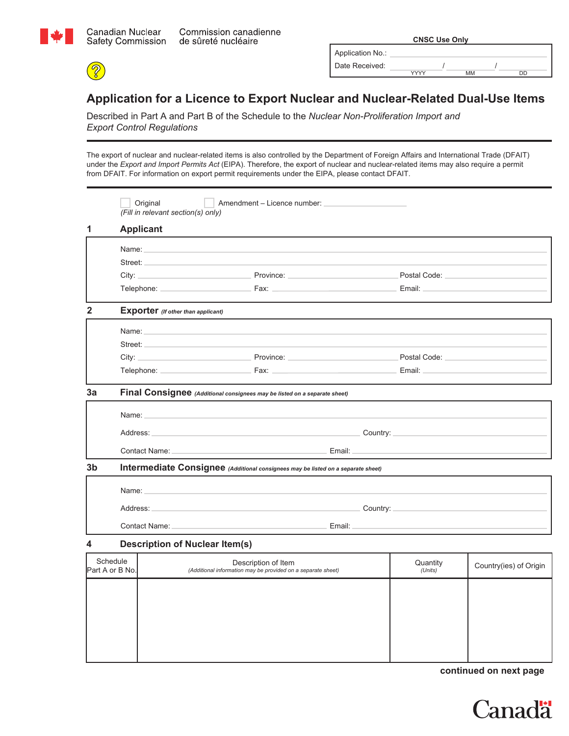

 $\circled{s}$ 

|                  | <b>CNSC Use Only</b> |    |    |  |
|------------------|----------------------|----|----|--|
| Application No.: |                      |    |    |  |
| Date Received:   |                      |    |    |  |
|                  | vvvv                 | МM | חר |  |

## **Application for a Licence to Export Nuclear and Nuclear-Related Dual-Use Items**

Described in Part A and Part B of the Schedule to the *Nuclear Non-Proliferation Import and Export Control Regulations*

The export of nuclear and nuclear-related items is also controlled by the Department of Foreign Affairs and International Trade (DFAIT) under the *Export and Import Permits Act* (EIPA). Therefore, the export of nuclear and nuclear-related items may also require a permit from DFAIT. For information on export permit requirements under the EIPA, please contact DFAIT.

|                             |                                                                              |                                                                                                                          | Postal Code: New York Postal Code:                                                                                                                                                                                                                                                                                                                                                                                                                                                                                                                                                                                                                                                                                                                                                                                                                                                                                                                                                                                                                                                                                                                                                                                                                                                                                                                                                                                                                                                                           |                                                                                                                                                                                                                                                                                                                                                                                                                                                                                                                                                          |
|-----------------------------|------------------------------------------------------------------------------|--------------------------------------------------------------------------------------------------------------------------|--------------------------------------------------------------------------------------------------------------------------------------------------------------------------------------------------------------------------------------------------------------------------------------------------------------------------------------------------------------------------------------------------------------------------------------------------------------------------------------------------------------------------------------------------------------------------------------------------------------------------------------------------------------------------------------------------------------------------------------------------------------------------------------------------------------------------------------------------------------------------------------------------------------------------------------------------------------------------------------------------------------------------------------------------------------------------------------------------------------------------------------------------------------------------------------------------------------------------------------------------------------------------------------------------------------------------------------------------------------------------------------------------------------------------------------------------------------------------------------------------------------|----------------------------------------------------------------------------------------------------------------------------------------------------------------------------------------------------------------------------------------------------------------------------------------------------------------------------------------------------------------------------------------------------------------------------------------------------------------------------------------------------------------------------------------------------------|
|                             |                                                                              |                                                                                                                          |                                                                                                                                                                                                                                                                                                                                                                                                                                                                                                                                                                                                                                                                                                                                                                                                                                                                                                                                                                                                                                                                                                                                                                                                                                                                                                                                                                                                                                                                                                              |                                                                                                                                                                                                                                                                                                                                                                                                                                                                                                                                                          |
|                             |                                                                              |                                                                                                                          |                                                                                                                                                                                                                                                                                                                                                                                                                                                                                                                                                                                                                                                                                                                                                                                                                                                                                                                                                                                                                                                                                                                                                                                                                                                                                                                                                                                                                                                                                                              |                                                                                                                                                                                                                                                                                                                                                                                                                                                                                                                                                          |
|                             |                                                                              |                                                                                                                          |                                                                                                                                                                                                                                                                                                                                                                                                                                                                                                                                                                                                                                                                                                                                                                                                                                                                                                                                                                                                                                                                                                                                                                                                                                                                                                                                                                                                                                                                                                              |                                                                                                                                                                                                                                                                                                                                                                                                                                                                                                                                                          |
|                             |                                                                              |                                                                                                                          |                                                                                                                                                                                                                                                                                                                                                                                                                                                                                                                                                                                                                                                                                                                                                                                                                                                                                                                                                                                                                                                                                                                                                                                                                                                                                                                                                                                                                                                                                                              |                                                                                                                                                                                                                                                                                                                                                                                                                                                                                                                                                          |
|                             |                                                                              |                                                                                                                          | Postal Code: National According to the Code of the Code of the Code of the Code of the Code of the Code of the                                                                                                                                                                                                                                                                                                                                                                                                                                                                                                                                                                                                                                                                                                                                                                                                                                                                                                                                                                                                                                                                                                                                                                                                                                                                                                                                                                                               |                                                                                                                                                                                                                                                                                                                                                                                                                                                                                                                                                          |
|                             |                                                                              |                                                                                                                          |                                                                                                                                                                                                                                                                                                                                                                                                                                                                                                                                                                                                                                                                                                                                                                                                                                                                                                                                                                                                                                                                                                                                                                                                                                                                                                                                                                                                                                                                                                              |                                                                                                                                                                                                                                                                                                                                                                                                                                                                                                                                                          |
|                             |                                                                              |                                                                                                                          |                                                                                                                                                                                                                                                                                                                                                                                                                                                                                                                                                                                                                                                                                                                                                                                                                                                                                                                                                                                                                                                                                                                                                                                                                                                                                                                                                                                                                                                                                                              |                                                                                                                                                                                                                                                                                                                                                                                                                                                                                                                                                          |
|                             |                                                                              |                                                                                                                          |                                                                                                                                                                                                                                                                                                                                                                                                                                                                                                                                                                                                                                                                                                                                                                                                                                                                                                                                                                                                                                                                                                                                                                                                                                                                                                                                                                                                                                                                                                              |                                                                                                                                                                                                                                                                                                                                                                                                                                                                                                                                                          |
|                             |                                                                              |                                                                                                                          |                                                                                                                                                                                                                                                                                                                                                                                                                                                                                                                                                                                                                                                                                                                                                                                                                                                                                                                                                                                                                                                                                                                                                                                                                                                                                                                                                                                                                                                                                                              |                                                                                                                                                                                                                                                                                                                                                                                                                                                                                                                                                          |
|                             |                                                                              |                                                                                                                          |                                                                                                                                                                                                                                                                                                                                                                                                                                                                                                                                                                                                                                                                                                                                                                                                                                                                                                                                                                                                                                                                                                                                                                                                                                                                                                                                                                                                                                                                                                              |                                                                                                                                                                                                                                                                                                                                                                                                                                                                                                                                                          |
|                             |                                                                              |                                                                                                                          |                                                                                                                                                                                                                                                                                                                                                                                                                                                                                                                                                                                                                                                                                                                                                                                                                                                                                                                                                                                                                                                                                                                                                                                                                                                                                                                                                                                                                                                                                                              |                                                                                                                                                                                                                                                                                                                                                                                                                                                                                                                                                          |
|                             |                                                                              |                                                                                                                          |                                                                                                                                                                                                                                                                                                                                                                                                                                                                                                                                                                                                                                                                                                                                                                                                                                                                                                                                                                                                                                                                                                                                                                                                                                                                                                                                                                                                                                                                                                              |                                                                                                                                                                                                                                                                                                                                                                                                                                                                                                                                                          |
|                             |                                                                              |                                                                                                                          |                                                                                                                                                                                                                                                                                                                                                                                                                                                                                                                                                                                                                                                                                                                                                                                                                                                                                                                                                                                                                                                                                                                                                                                                                                                                                                                                                                                                                                                                                                              |                                                                                                                                                                                                                                                                                                                                                                                                                                                                                                                                                          |
|                             |                                                                              |                                                                                                                          |                                                                                                                                                                                                                                                                                                                                                                                                                                                                                                                                                                                                                                                                                                                                                                                                                                                                                                                                                                                                                                                                                                                                                                                                                                                                                                                                                                                                                                                                                                              |                                                                                                                                                                                                                                                                                                                                                                                                                                                                                                                                                          |
|                             |                                                                              |                                                                                                                          |                                                                                                                                                                                                                                                                                                                                                                                                                                                                                                                                                                                                                                                                                                                                                                                                                                                                                                                                                                                                                                                                                                                                                                                                                                                                                                                                                                                                                                                                                                              |                                                                                                                                                                                                                                                                                                                                                                                                                                                                                                                                                          |
|                             |                                                                              |                                                                                                                          |                                                                                                                                                                                                                                                                                                                                                                                                                                                                                                                                                                                                                                                                                                                                                                                                                                                                                                                                                                                                                                                                                                                                                                                                                                                                                                                                                                                                                                                                                                              |                                                                                                                                                                                                                                                                                                                                                                                                                                                                                                                                                          |
|                             | Description of Item                                                          |                                                                                                                          | Quantity<br>(Units)                                                                                                                                                                                                                                                                                                                                                                                                                                                                                                                                                                                                                                                                                                                                                                                                                                                                                                                                                                                                                                                                                                                                                                                                                                                                                                                                                                                                                                                                                          | Country(ies) of Origin                                                                                                                                                                                                                                                                                                                                                                                                                                                                                                                                   |
| Schedule<br>Part A or B No. | Original<br><b>Applicant</b><br>Address:<br>Contact Name: _<br>Contact Name: | (Fill in relevant section(s) only)<br><b>Exporter</b> (If other than applicant)<br><b>Description of Nuclear Item(s)</b> | Name: Name: Name: Name: Name: Name: Name: Name: Name: Name: Name: Name: Name: Name: Name: Name: Name: Name: Name: Name: Name: Name: Name: Name: Name: Name: Name: Name: Name: Name: Name: Name: Name: Name: Name: Name: Name:<br>City: Province: Province: Province:<br>Name: Name: Name: Name: Name: Name: Name: Name: Name: Name: Name: Name: Name: Name: Name: Name: Name: Name: Name: Name: Name: Name: Name: Name: Name: Name: Name: Name: Name: Name: Name: Name: Name: Name: Name: Name: Name:<br>Street: the contract of the contract of the contract of the contract of the contract of the contract of the contract of the contract of the contract of the contract of the contract of the contract of the contract of the co<br>Final Consignee (Additional consignees may be listed on a separate sheet)<br>Name: the contract of the contract of the contract of the contract of the contract of the contract of the contract of the contract of the contract of the contract of the contract of the contract of the contract of the cont<br>the control of the control of the control of the control of the control of the control of<br>Intermediate Consignee (Additional consignees may be listed on a separate sheet)<br>Address: Address: Address: Address: Address: Address: Address: Address: Address: Address: Address: A<br>the control of the control of the control of the control of the control of the control of<br>(Additional information may be provided on a separate sheet) | Amendment – Licence number:<br>City: City: City: City: City: City: City: City: City: City: City: City: City: City: City: City: City: City: City: City: City: City: City: City: City: City: City: City: City: City: City: City: City: City: City: City: City:<br>Country: Note: 1998<br>Country: Note: 1996. The Country: Note: 1997. The Country: 1997. The Country: 1997. The Country: 1997. The Country: 1997. The Country: 1997. The Country: 1997. The Country: 1997. The Country: 1997. The Country: 1997. The C<br>Email: Email: Albert March 2004 |

| Part A or B No. | (Additional information may be provided on a separate sheet) | $-$<br>(Units) | Country(les) or Origin |
|-----------------|--------------------------------------------------------------|----------------|------------------------|
|                 |                                                              |                |                        |
|                 |                                                              |                |                        |
|                 |                                                              |                |                        |
|                 |                                                              |                |                        |
|                 |                                                              |                |                        |
|                 |                                                              |                |                        |

**continued on next page**